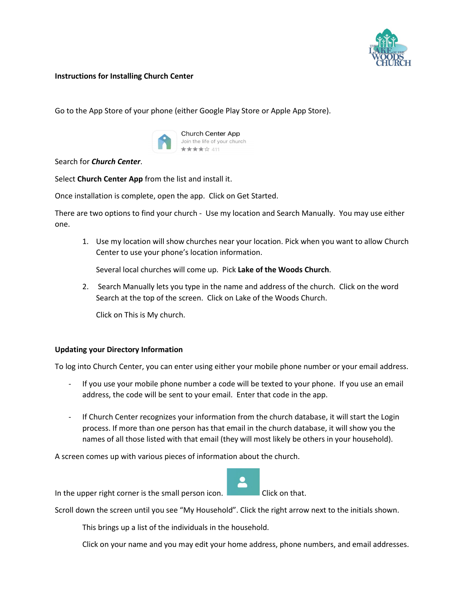

## **Instructions for Installing Church Center**

Go to the App Store of your phone (either Google Play Store or Apple App Store).



Search for *Church Center*.

Select **Church Center App** from the list and install it.

Once installation is complete, open the app. Click on Get Started.

There are two options to find your church - Use my location and Search Manually. You may use either one.

1. Use my location will show churches near your location. Pick when you want to allow Church Center to use your phone's location information.

Several local churches will come up. Pick **Lake of the Woods Church**.

2. Search Manually lets you type in the name and address of the church. Click on the word Search at the top of the screen. Click on Lake of the Woods Church.

Click on This is My church.

## **Updating your Directory Information**

To log into Church Center, you can enter using either your mobile phone number or your email address.

- If you use your mobile phone number a code will be texted to your phone. If you use an email address, the code will be sent to your email. Enter that code in the app.
- If Church Center recognizes your information from the church database, it will start the Login process. If more than one person has that email in the church database, it will show you the names of all those listed with that email (they will most likely be others in your household).

A screen comes up with various pieces of information about the church.



In the upper right corner is the small person icon. Click on that.

Scroll down the screen until you see "My Household". Click the right arrow next to the initials shown.

This brings up a list of the individuals in the household.

Click on your name and you may edit your home address, phone numbers, and email addresses.